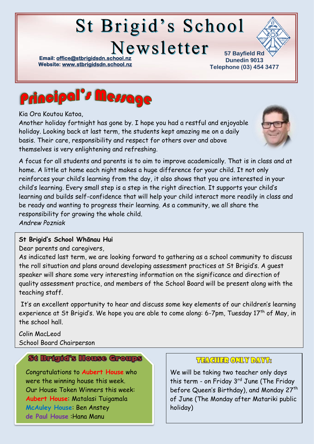# **St Brigid's School**

Newsletter

**Email: office@stbrigidsdn.school Website[: www.stbrigidsdn.school.nz](http://www.stbrigidsdn.school.nz/)** 

**57 Bayfield Rd Dunedin 9013 Telephone (03) 454 3477** 



Kia Ora Koutou Katoa,

Another holiday fortnight has gone by. I hope you had a restful and enjoyable holiday. Looking back at last term, the students kept amazing me on a daily basis. Their care, responsibility and respect for others over and above themselves is very enlightening and refreshing.



A focus for all students and parents is to aim to improve academically. That is in class and at home. A little at home each night makes a huge difference for your child. It not only reinforces your child's learning from the day, it also shows that you are interested in your child's learning. Every small step is a step in the right direction. It supports your child's learning and builds self-confidence that will help your child interact more readily in class and be ready and wanting to progress their learning. As a community, we all share the responsibility for growing the whole child. *Andrew Pozniak*

#### **St Brigid's School Whānau Hui**

Dear parents and caregivers,

As indicated last term, we are looking forward to gathering as a school community to discuss the roll situation and plans around developing assessment practices at St Brigid's. A guest speaker will share some very interesting information on the significance and direction of quality assessment practice, and members of the School Board will be present along with the teaching staff.

It's an excellent opportunity to hear and discuss some key elements of our children's learning experience at St Brigid's. We hope you are able to come along: 6-7pm, Tuesday 17<sup>th</sup> of May, in the school hall.

Colin MacLeod School Board Chairperson

## St Brigid's House Groups

Congratulations to **Aubert House** who were the winning house this week. Our House Token Winners this week: **Aubert House**: Matalasi Tuigamala **McAuley House**: Ben Anstey **de Paul House** :Hana Manu

#### **THACHER ONLY DAY'S:**

We will be taking two teacher only days this term - on Friday  $3<sup>rd</sup>$  June (The Friday before Queen's Birthday), and Monday 27<sup>th</sup> of June (The Monday after Matariki public holiday)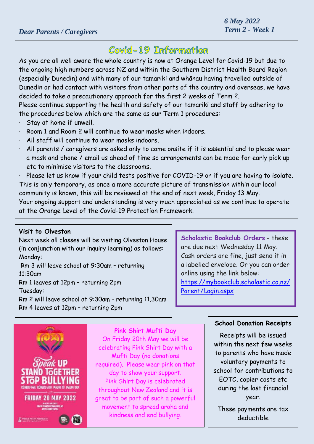# Covid-19 Information

As you are all well aware the whole country is now at Orange Level for Covid-19 but due to the ongoing high numbers across NZ and within the Southern District Health Board Region (especially Dunedin) and with many of our tamariki and whānau having travelled outside of Dunedin or had contact with visitors from other parts of the country and overseas, we have decided to take a precautionary approach for the first 2 weeks of Term 2. Please continue supporting the health and safety of our tamariki and staff by adhering to the procedures below which are the same as our Term 1 procedures:

- · Stay at home if unwell.
- · Room 1 and Room 2 will continue to wear masks when indoors.
- · All staff will continue to wear masks indoors.
- · All parents / caregivers are asked only to come onsite if it is essential and to please wear a mask and phone / email us ahead of time so arrangements can be made for early pick up etc to minimise visitors to the classrooms.

· Please let us know if your child tests positive for COVID-19 or if you are having to isolate. This is only temporary, as once a more accurate picture of transmission within our local community is known, this will be reviewed at the end of next week, Friday 13 May.

Your ongoing support and understanding is very much appreciated as we continue to operate at the Orange Level of the Covid-19 Protection Framework.

#### **Visit to Olveston**

Next week all classes will be visiting Olveston House (in conjunction with our inquiry learning) as follows: Monday:

Rm 3 will leave school at 9:30am – returning 11:30am

Rm 1 leaves at 12pm – returning 2pm Tuesday:

Rm 2 will leave school at 9:30am - returning 11.30am

Rm 4 leaves at 12pm – returning 2pm

**Scholastic Bookclub Orders** - these are due next Wednesday 11 May. Cash orders are fine, just send it in a labelled envelope. Or you can order online using the link below: [https://mybookclub.scholastic.co.nz/](https://mybookclub.scholastic.co.nz/Parent/Login.aspx) [Parent/Login.aspx](https://mybookclub.scholastic.co.nz/Parent/Login.aspx)



**Pink Shirt Mufti Day** On Friday 20th May we will be celebrating Pink Shirt Day with a Mufti Day (no donations required). Please wear pink on that day to show your support. Pink Shirt Day is celebrated throughout New Zealand and it is great to be part of such a powerful movement to spread aroha and kindness and end bullying.

#### **School Donation Receipts**

Receipts will be issued within the next few weeks to parents who have made voluntary payments to school for contributions to EOTC, copier costs etc during the last financial year.

These payments are tax deductible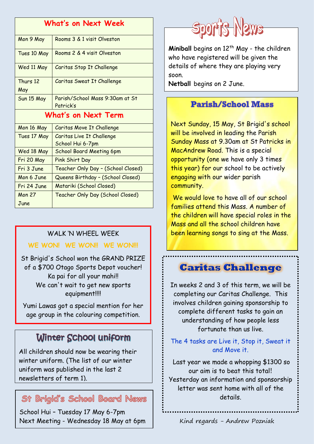| What's on Next Week |                                               |
|---------------------|-----------------------------------------------|
| Mon 9 May           | Rooms 3 & 1 visit Olveston                    |
| Tues 10 May         | Rooms 2 & 4 visit Olveston                    |
| Wed 11 May          | Caritas Stop It Challenge                     |
| Thurs 12<br>May     | Caritas Sweat It Challenge                    |
| Sun 15 May          | Parish/School Mass 9:30am at St<br>Patrick's  |
| What's on Next Term |                                               |
| Mon 16 May          | Caritas Move It Challenge                     |
| Tues 17 May         | Caritas Live It Challenge<br>School Hui 6-7pm |
| Wed 18 May          | <b>School Board Meeting 6pm</b>               |
| Fri 20 May          | Pink Shirt Day                                |
| Fri 3 June          | Teacher Only Day - (School Closed)            |
| Mon 6 June          | Queens Birthday - (School Closed)             |
| Fri 24 June         | Matariki (School Closed)                      |
| <b>Mon 27</b>       | Teacher Only Day (School Closed)              |
| June                |                                               |

## WALK 'N WHEEL WEEK

#### **WE WON! WE WON!! WE WON!!!**

St Brigid's School won the GRAND PRIZE of a \$700 Otago Sports Depot voucher! Ka pai for all your mahi!! We can't wait to get new sports equipment!!!!

Yumi Lawas got a special mention for her age group in the colouring competition.

# Winter School uniform

All children should now be wearing their winter uniform. (The list of our winter uniform was published in the last 2 newsletters of term 1).

## St Brigid's School Board News

School Hui – Tuesday 17 May 6-7pm Next Meeting - Wednesday 18 May at 6pm



**Miniball** begins on 12<sup>th</sup> May - the children who have registered will be given the details of where they are playing very soon.

**Netball** begins on 2 June.

# **Parish/School Mass**

Next Sunday, 15 May, St Brigid's school will be involved in leading the Parish Sunday Mass at 9.30am at St Patricks in MacAndrew Road. This is a special opportunity (one we have only 3 times this year) for our school to be actively engaging with our wider parish community.

We would love to have all of our school families attend this Mass. A number of the children will have special roles in the Mass and all the school children have been learning songs to sing at the Mass.

# **Caritas Challenge**

In weeks 2 and 3 of this term, we will be completing our Caritas Challenge. This involves children gaining sponsorship to complete different tasks to gain an understanding of how people less fortunate than us live.

The 4 tasks are Live it, Stop it, Sweat it and Move it.

Last year we made a whopping \$1300 so our aim is to beat this total! Yesterday an information and sponsorship letter was sent home with all of the details.

Kind regards - Andrew Pozniak